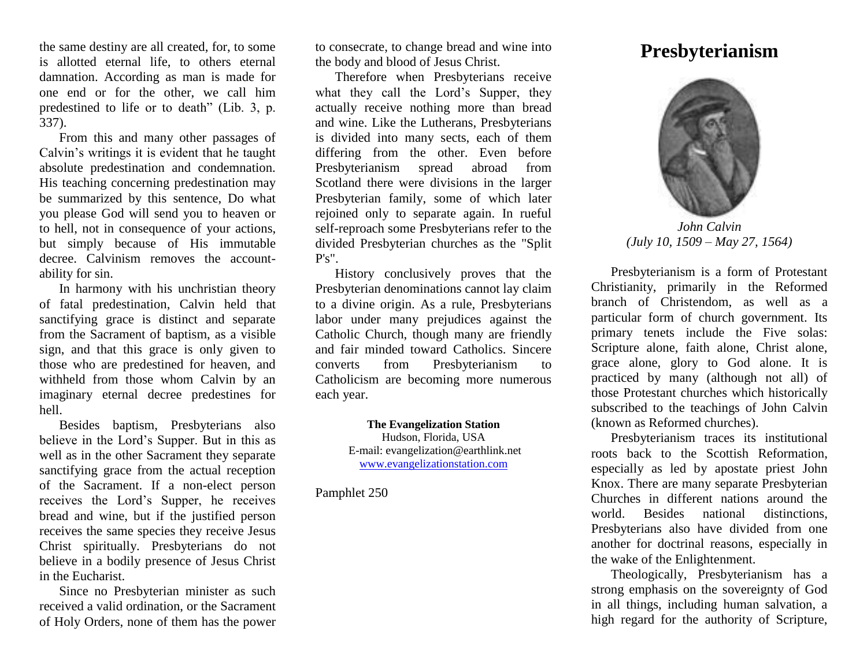the same destiny are all created, for, to some is allotted eternal life, to others eternal damnation. According as man is made for one end or for the other, we call him predestined to life or to death" (Lib. 3, p. 337).

From this and many other passages of Calvin's writings it is evident that he taught absolute predestination and condemnation. His teaching concerning predestination may be summarized by this sentence, Do what you please God will send you to heaven or to hell, not in consequence of your actions, but simply because of His immutable decree. Calvinism removes the accountability for sin.

In harmony with his unchristian theory of fatal predestination, Calvin held that sanctifying grace is distinct and separate from the Sacrament of baptism, as a visible sign, and that this grace is only given to those who are predestined for heaven, and withheld from those whom Calvin by an imaginary eternal decree predestines for hell.

Besides baptism, Presbyterians also believe in the Lord's Supper. But in this as well as in the other Sacrament they separate sanctifying grace from the actual reception of the Sacrament. If a non-elect person receives the Lord's Supper, he receives bread and wine, but if the justified person receives the same species they receive Jesus Christ spiritually. Presbyterians do not believe in a bodily presence of Jesus Christ in the Eucharist.

Since no Presbyterian minister as such received a valid ordination, or the Sacrament of Holy Orders, none of them has the power to consecrate, to change bread and wine into the body and blood of Jesus Christ.

Therefore when Presbyterians receive what they call the Lord's Supper, they actually receive nothing more than bread and wine. Like the Lutherans, Presbyterians is divided into many sects, each of them differing from the other. Even before Presbyterianism spread abroad from Scotland there were divisions in the larger Presbyterian family, some of which later rejoined only to separate again. In rueful self-reproach some Presbyterians refer to the divided Presbyterian churches as the "Split  $P's''.$ 

History conclusively proves that the Presbyterian denominations cannot lay claim to a divine origin. As a rule, Presbyterians labor under many prejudices against the Catholic Church, though many are friendly and fair minded toward Catholics. Sincere converts from Presbyterianism to Catholicism are becoming more numerous each year.

> **The Evangelization Station** Hudson, Florida, USA E-mail: evangelization@earthlink.net [www.evangelizationstation.com](http://www.pjpiisoe.org/)

Pamphlet 250

## **Presbyterianism**



*John Calvin (July 10, 1509 – May 27, 1564)*

Presbyterianism is a form of Protestant Christianity, primarily in the Reformed branch of Christendom, as well as a particular form of church government. Its primary tenets include the Five solas: Scripture alone, faith alone, Christ alone, grace alone, glory to God alone. It is practiced by many (although not all) of those Protestant churches which historically subscribed to the teachings of John Calvin (known as Reformed churches).

Presbyterianism traces its institutional roots back to the Scottish Reformation, especially as led by apostate priest John Knox. There are many separate Presbyterian Churches in different nations around the world. Besides national distinctions, Presbyterians also have divided from one another for doctrinal reasons, especially in the wake of the Enlightenment.

Theologically, Presbyterianism has a strong emphasis on the sovereignty of God in all things, including human salvation, a high regard for the authority of Scripture,